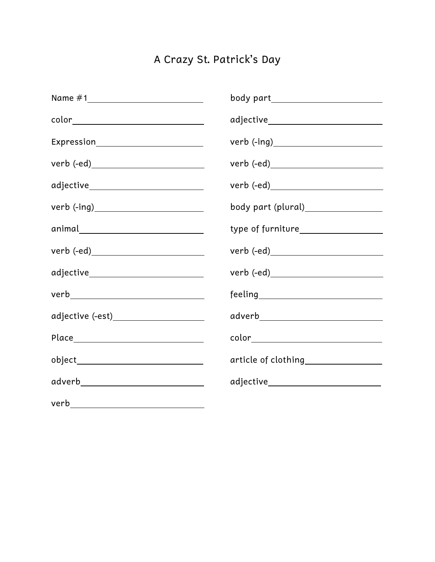## A Crazy St. Patrick's Day

|                                       | body part________________________                                                                                                                                                                                                                                                                                                                                  |
|---------------------------------------|--------------------------------------------------------------------------------------------------------------------------------------------------------------------------------------------------------------------------------------------------------------------------------------------------------------------------------------------------------------------|
| color________________________________ |                                                                                                                                                                                                                                                                                                                                                                    |
|                                       |                                                                                                                                                                                                                                                                                                                                                                    |
|                                       |                                                                                                                                                                                                                                                                                                                                                                    |
|                                       |                                                                                                                                                                                                                                                                                                                                                                    |
|                                       | body part (plural)_________________                                                                                                                                                                                                                                                                                                                                |
| animal_____________________________   | type of furniture___________________                                                                                                                                                                                                                                                                                                                               |
|                                       |                                                                                                                                                                                                                                                                                                                                                                    |
| adjective____________________________ |                                                                                                                                                                                                                                                                                                                                                                    |
|                                       | $\begin{picture}(150,10) \put(0,0){\vector(1,0){100}} \put(15,0){\vector(1,0){100}} \put(15,0){\vector(1,0){100}} \put(15,0){\vector(1,0){100}} \put(15,0){\vector(1,0){100}} \put(15,0){\vector(1,0){100}} \put(15,0){\vector(1,0){100}} \put(15,0){\vector(1,0){100}} \put(15,0){\vector(1,0){100}} \put(15,0){\vector(1,0){100}} \put(15,0){\vector(1,0){100}}$ |
|                                       | adverb_____________________________                                                                                                                                                                                                                                                                                                                                |
|                                       |                                                                                                                                                                                                                                                                                                                                                                    |
|                                       | article of clothing_________________                                                                                                                                                                                                                                                                                                                               |
| adverb______________________________  | adjective____________________________                                                                                                                                                                                                                                                                                                                              |
|                                       |                                                                                                                                                                                                                                                                                                                                                                    |